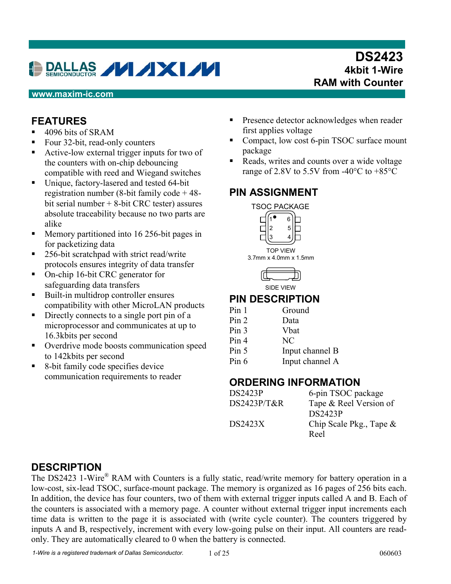# **DALLAS VIXIVI**

## **DS2423 4kbit 1-Wire RAM with Counter**

#### **www.maxim-ic.com**

#### **FEATURES**

- 4096 bits of SRAM
- Four 32-bit, read-only counters
- Active-low external trigger inputs for two of the counters with on-chip debouncing compatible with reed and Wiegand switches
- Unique, factory-lasered and tested 64-bit registration number (8-bit family code + 48 bit serial number + 8-bit CRC tester) assures absolute traceability because no two parts are alike
- **Memory partitioned into 16 256-bit pages in** for packetizing data
- 256-bit scratchpad with strict read/write protocols ensures integrity of data transfer
- On-chip 16-bit CRC generator for safeguarding data transfers
- Built-in multidrop controller ensures compatibility with other MicroLAN products
- Directly connects to a single port pin of a microprocessor and communicates at up to 16.3kbits per second
- **•** Overdrive mode boosts communication speed to 142kbits per second
- 8-bit family code specifies device communication requirements to reader
- **Presence detector acknowledges when reader** first applies voltage
- Compact, low cost 6-pin TSOC surface mount package
- Reads, writes and counts over a wide voltage range of 2.8V to 5.5V from -40 $^{\circ}$ C to +85 $^{\circ}$ C

#### **PIN ASSIGNMENT**





#### **PIN DESCRIPTION**

| Pin 1            | Ground          |
|------------------|-----------------|
| Pin 2            | Data            |
| Pin 3            | Vbat            |
| Pin <sub>4</sub> | NC              |
| Pin 5            | Input channel B |
| Pin 6            | Input channel A |

#### **ORDERING INFORMATION**

| <b>DS2423P</b> | 6-pin TSOC package         |
|----------------|----------------------------|
| DS2423P/T&R    | Tape & Reel Version of     |
|                | <b>DS2423P</b>             |
| DS2423X        | Chip Scale Pkg., Tape $\&$ |
|                | Reel                       |

#### **DESCRIPTION**

The DS2423 1-Wire<sup>®</sup> RAM with Counters is a fully static, read/write memory for battery operation in a low-cost, six-lead TSOC, surface-mount package. The memory is organized as 16 pages of 256 bits each. In addition, the device has four counters, two of them with external trigger inputs called A and B. Each of the counters is associated with a memory page. A counter without external trigger input increments each time data is written to the page it is associated with (write cycle counter). The counters triggered by inputs A and B, respectively, increment with every low-going pulse on their input. All counters are readonly. They are automatically cleared to 0 when the battery is connected.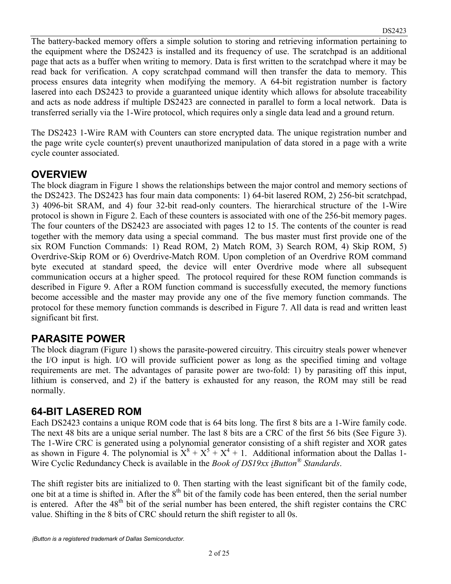The battery-backed memory offers a simple solution to storing and retrieving information pertaining to the equipment where the DS2423 is installed and its frequency of use. The scratchpad is an additional page that acts as a buffer when writing to memory. Data is first written to the scratchpad where it may be read back for verification. A copy scratchpad command will then transfer the data to memory. This process ensures data integrity when modifying the memory. A 64-bit registration number is factory lasered into each DS2423 to provide a guaranteed unique identity which allows for absolute traceability and acts as node address if multiple DS2423 are connected in parallel to form a local network. Data is transferred serially via the 1-Wire protocol, which requires only a single data lead and a ground return.

The DS2423 1-Wire RAM with Counters can store encrypted data. The unique registration number and the page write cycle counter(s) prevent unauthorized manipulation of data stored in a page with a write cycle counter associated.

#### **OVERVIEW**

The block diagram in Figure 1 shows the relationships between the major control and memory sections of the DS2423. The DS2423 has four main data components: 1) 64-bit lasered ROM, 2) 256-bit scratchpad, 3) 4096-bit SRAM, and 4) four 32-bit read-only counters. The hierarchical structure of the 1-Wire protocol is shown in Figure 2. Each of these counters is associated with one of the 256-bit memory pages. The four counters of the DS2423 are associated with pages 12 to 15. The contents of the counter is read together with the memory data using a special command. The bus master must first provide one of the six ROM Function Commands: 1) Read ROM, 2) Match ROM, 3) Search ROM, 4) Skip ROM, 5) Overdrive-Skip ROM or 6) Overdrive-Match ROM. Upon completion of an Overdrive ROM command byte executed at standard speed, the device will enter Overdrive mode where all subsequent communication occurs at a higher speed. The protocol required for these ROM function commands is described in Figure 9. After a ROM function command is successfully executed, the memory functions become accessible and the master may provide any one of the five memory function commands. The protocol for these memory function commands is described in Figure 7. All data is read and written least significant bit first.

#### **PARASITE POWER**

The block diagram (Figure 1) shows the parasite-powered circuitry. This circuitry steals power whenever the I/O input is high. I/O will provide sufficient power as long as the specified timing and voltage requirements are met. The advantages of parasite power are two-fold: 1) by parasiting off this input, lithium is conserved, and 2) if the battery is exhausted for any reason, the ROM may still be read normally.

#### **64-BIT LASERED ROM**

Each DS2423 contains a unique ROM code that is 64 bits long. The first 8 bits are a 1-Wire family code. The next 48 bits are a unique serial number. The last 8 bits are a CRC of the first 56 bits (See Figure 3). The 1-Wire CRC is generated using a polynomial generator consisting of a shift register and XOR gates as shown in Figure 4. The polynomial is  $X^8 + X^5 + X^4 + 1$ . Additional information about the Dallas 1-Wire Cyclic Redundancy Check is available in the *Book of DS19xx iButton® Standards*.

The shift register bits are initialized to 0. Then starting with the least significant bit of the family code, one bit at a time is shifted in. After the  $8<sup>th</sup>$  bit of the family code has been entered, then the serial number is entered. After the  $48<sup>th</sup>$  bit of the serial number has been entered, the shift register contains the CRC value. Shifting in the 8 bits of CRC should return the shift register to all 0s.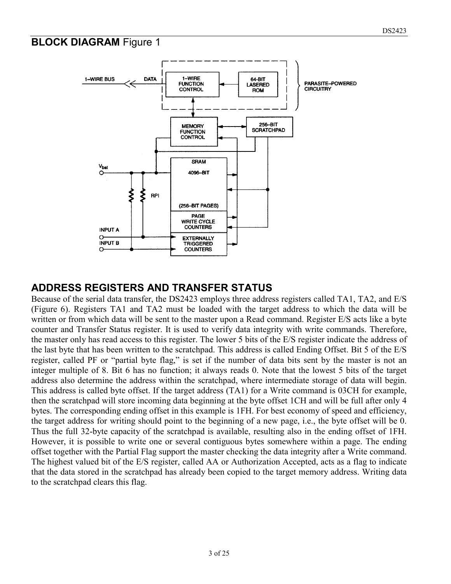#### **BLOCK DIAGRAM Figure 1**



#### **ADDRESS REGISTERS AND TRANSFER STATUS**

Because of the serial data transfer, the DS2423 employs three address registers called TA1, TA2, and E/S (Figure 6). Registers TA1 and TA2 must be loaded with the target address to which the data will be written or from which data will be sent to the master upon a Read command. Register E/S acts like a byte counter and Transfer Status register. It is used to verify data integrity with write commands. Therefore, the master only has read access to this register. The lower 5 bits of the E/S register indicate the address of the last byte that has been written to the scratchpad. This address is called Ending Offset. Bit 5 of the E/S register, called PF or "partial byte flag," is set if the number of data bits sent by the master is not an integer multiple of 8. Bit 6 has no function; it always reads 0. Note that the lowest 5 bits of the target address also determine the address within the scratchpad, where intermediate storage of data will begin. This address is called byte offset. If the target address (TA1) for a Write command is 03CH for example, then the scratchpad will store incoming data beginning at the byte offset 1CH and will be full after only 4 bytes. The corresponding ending offset in this example is 1FH. For best economy of speed and efficiency, the target address for writing should point to the beginning of a new page, i.e., the byte offset will be 0. Thus the full 32-byte capacity of the scratchpad is available, resulting also in the ending offset of 1FH. However, it is possible to write one or several contiguous bytes somewhere within a page. The ending offset together with the Partial Flag support the master checking the data integrity after a Write command. The highest valued bit of the E/S register, called AA or Authorization Accepted, acts as a flag to indicate that the data stored in the scratchpad has already been copied to the target memory address. Writing data to the scratchpad clears this flag.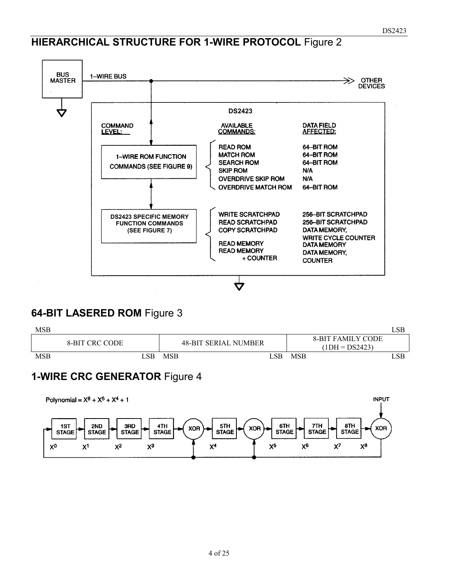# **HIERARCHICAL STRUCTURE FOR 1-WIRE PROTOCOL** Figure 2



#### **64-BIT LASERED ROM** Figure 3



#### **1-WIRE CRC GENERATOR** Figure 4

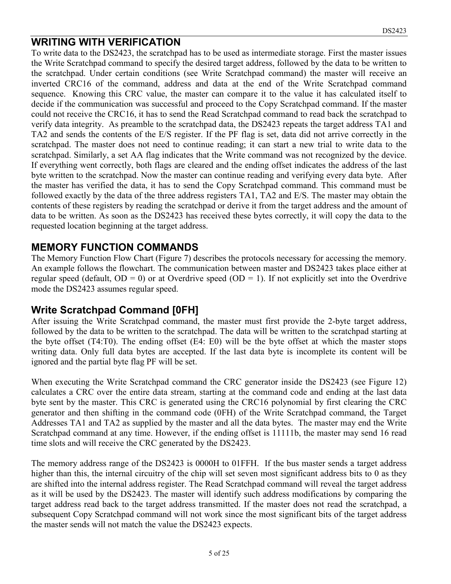#### **WRITING WITH VERIFICATION**

To write data to the DS2423, the scratchpad has to be used as intermediate storage. First the master issues the Write Scratchpad command to specify the desired target address, followed by the data to be written to the scratchpad. Under certain conditions (see Write Scratchpad command) the master will receive an inverted CRC16 of the command, address and data at the end of the Write Scratchpad command sequence. Knowing this CRC value, the master can compare it to the value it has calculated itself to decide if the communication was successful and proceed to the Copy Scratchpad command. If the master could not receive the CRC16, it has to send the Read Scratchpad command to read back the scratchpad to verify data integrity. As preamble to the scratchpad data, the DS2423 repeats the target address TA1 and TA2 and sends the contents of the E/S register. If the PF flag is set, data did not arrive correctly in the scratchpad. The master does not need to continue reading; it can start a new trial to write data to the scratchpad. Similarly, a set AA flag indicates that the Write command was not recognized by the device. If everything went correctly, both flags are cleared and the ending offset indicates the address of the last byte written to the scratchpad. Now the master can continue reading and verifying every data byte. After the master has verified the data, it has to send the Copy Scratchpad command. This command must be followed exactly by the data of the three address registers TA1, TA2 and E/S. The master may obtain the contents of these registers by reading the scratchpad or derive it from the target address and the amount of data to be written. As soon as the DS2423 has received these bytes correctly, it will copy the data to the requested location beginning at the target address.

#### **MEMORY FUNCTION COMMANDS**

The Memory Function Flow Chart (Figure 7) describes the protocols necessary for accessing the memory. An example follows the flowchart. The communication between master and DS2423 takes place either at regular speed (default,  $OD = 0$ ) or at Overdrive speed ( $OD = 1$ ). If not explicitly set into the Overdrive mode the DS2423 assumes regular speed.

#### **Write Scratchpad Command [0FH]**

After issuing the Write Scratchpad command, the master must first provide the 2-byte target address, followed by the data to be written to the scratchpad. The data will be written to the scratchpad starting at the byte offset (T4:T0). The ending offset (E4: E0) will be the byte offset at which the master stops writing data. Only full data bytes are accepted. If the last data byte is incomplete its content will be ignored and the partial byte flag PF will be set.

When executing the Write Scratchpad command the CRC generator inside the DS2423 (see Figure 12) calculates a CRC over the entire data stream, starting at the command code and ending at the last data byte sent by the master. This CRC is generated using the CRC16 polynomial by first clearing the CRC generator and then shifting in the command code (0FH) of the Write Scratchpad command, the Target Addresses TA1 and TA2 as supplied by the master and all the data bytes. The master may end the Write Scratchpad command at any time. However, if the ending offset is 11111b, the master may send 16 read time slots and will receive the CRC generated by the DS2423.

The memory address range of the DS2423 is 0000H to 01FFH. If the bus master sends a target address higher than this, the internal circuitry of the chip will set seven most significant address bits to 0 as they are shifted into the internal address register. The Read Scratchpad command will reveal the target address as it will be used by the DS2423. The master will identify such address modifications by comparing the target address read back to the target address transmitted. If the master does not read the scratchpad, a subsequent Copy Scratchpad command will not work since the most significant bits of the target address the master sends will not match the value the DS2423 expects.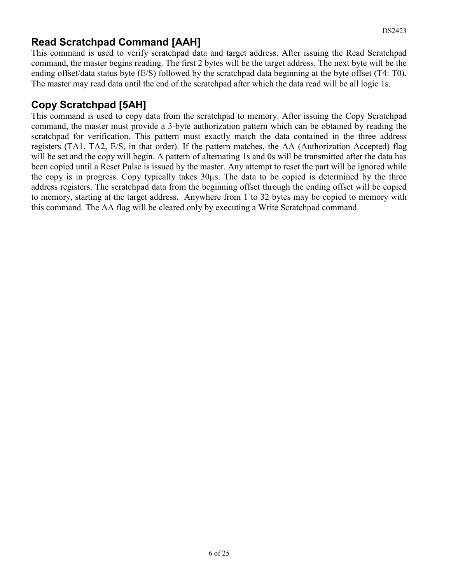#### **Read Scratchpad Command [AAH]**

This command is used to verify scratchpad data and target address. After issuing the Read Scratchpad command, the master begins reading. The first 2 bytes will be the target address. The next byte will be the ending offset/data status byte (E/S) followed by the scratchpad data beginning at the byte offset (T4: T0). The master may read data until the end of the scratchpad after which the data read will be all logic 1s.

## **Copy Scratchpad [5AH]**

This command is used to copy data from the scratchpad to memory. After issuing the Copy Scratchpad command, the master must provide a 3-byte authorization pattern which can be obtained by reading the scratchpad for verification. This pattern must exactly match the data contained in the three address registers (TA1, TA2, E/S, in that order). If the pattern matches, the AA (Authorization Accepted) flag will be set and the copy will begin. A pattern of alternating 1s and 0s will be transmitted after the data has been copied until a Reset Pulse is issued by the master. Any attempt to reset the part will be ignored while the copy is in progress. Copy typically takes 30µs. The data to be copied is determined by the three address registers. The scratchpad data from the beginning offset through the ending offset will be copied to memory, starting at the target address. Anywhere from 1 to 32 bytes may be copied to memory with this command. The AA flag will be cleared only by executing a Write Scratchpad command.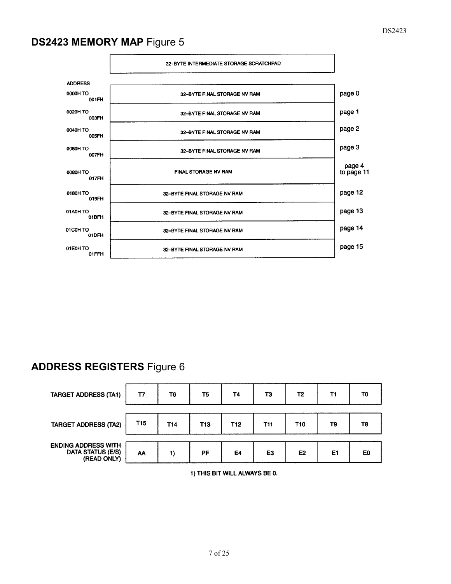# **DS2423 MEMORY MAP Figure 5**



#### **ADDRESS REGISTERS** Figure 6



1) THIS BIT WILL ALWAYS BE 0.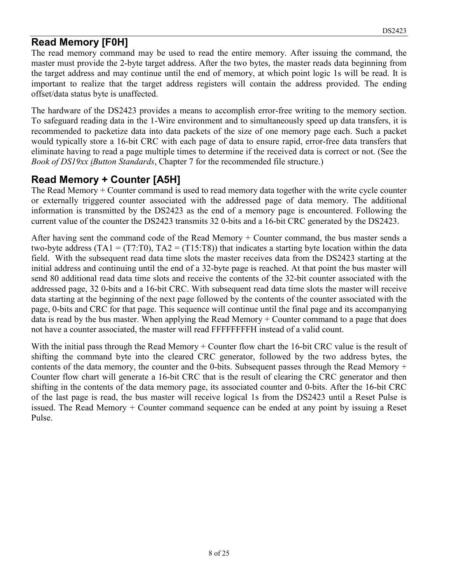#### **Read Memory [F0H]**

The read memory command may be used to read the entire memory. After issuing the command, the master must provide the 2-byte target address. After the two bytes, the master reads data beginning from the target address and may continue until the end of memory, at which point logic 1s will be read. It is important to realize that the target address registers will contain the address provided. The ending offset/data status byte is unaffected.

The hardware of the DS2423 provides a means to accomplish error-free writing to the memory section. To safeguard reading data in the 1-Wire environment and to simultaneously speed up data transfers, it is recommended to packetize data into data packets of the size of one memory page each. Such a packet would typically store a 16-bit CRC with each page of data to ensure rapid, error-free data transfers that eliminate having to read a page multiple times to determine if the received data is correct or not. (See the *Book of DS19xx iButton Standards*, Chapter 7 for the recommended file structure.)

## **Read Memory + Counter [A5H]**

The Read Memory + Counter command is used to read memory data together with the write cycle counter or externally triggered counter associated with the addressed page of data memory. The additional information is transmitted by the DS2423 as the end of a memory page is encountered. Following the current value of the counter the DS2423 transmits 32 0-bits and a 16-bit CRC generated by the DS2423.

After having sent the command code of the Read Memory + Counter command, the bus master sends a two-byte address (TA1 = (T7:T0), TA2 = (T15:T8)) that indicates a starting byte location within the data field. With the subsequent read data time slots the master receives data from the DS2423 starting at the initial address and continuing until the end of a 32-byte page is reached. At that point the bus master will send 80 additional read data time slots and receive the contents of the 32-bit counter associated with the addressed page, 32 0-bits and a 16-bit CRC. With subsequent read data time slots the master will receive data starting at the beginning of the next page followed by the contents of the counter associated with the page, 0-bits and CRC for that page. This sequence will continue until the final page and its accompanying data is read by the bus master. When applying the Read Memory + Counter command to a page that does not have a counter associated, the master will read FFFFFFFFH instead of a valid count.

With the initial pass through the Read Memory + Counter flow chart the 16-bit CRC value is the result of shifting the command byte into the cleared CRC generator, followed by the two address bytes, the contents of the data memory, the counter and the 0-bits. Subsequent passes through the Read Memory + Counter flow chart will generate a 16-bit CRC that is the result of clearing the CRC generator and then shifting in the contents of the data memory page, its associated counter and 0-bits. After the 16-bit CRC of the last page is read, the bus master will receive logical 1s from the DS2423 until a Reset Pulse is issued. The Read Memory + Counter command sequence can be ended at any point by issuing a Reset Pulse.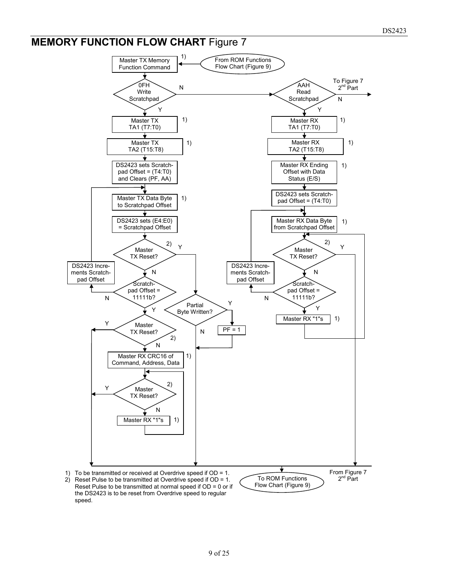## **MEMORY FUNCTION FLOW CHART Figure 7**

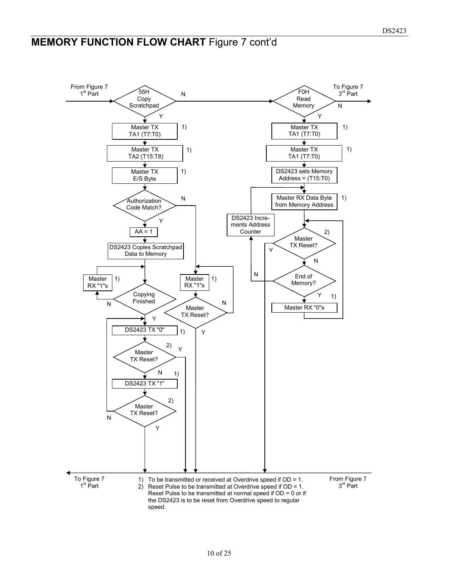# **MEMORY FUNCTION FLOW CHART Figure 7 cont'd**

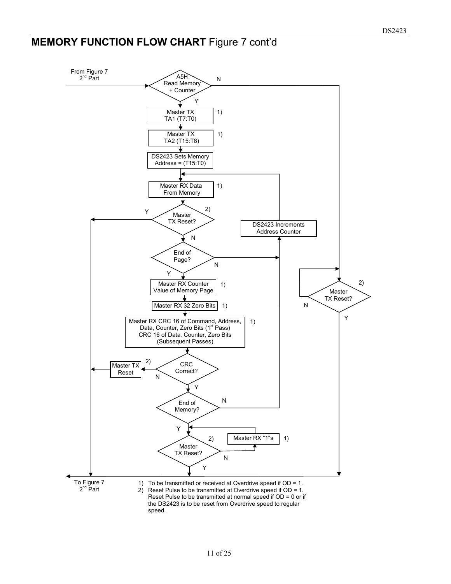# **MEMORY FUNCTION FLOW CHART Figure 7 cont'd**

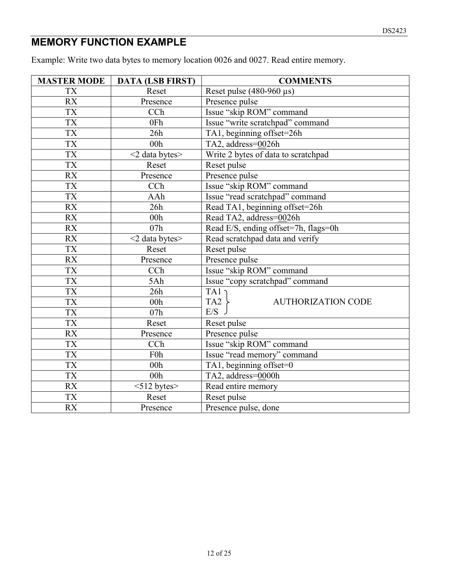# **MEMORY FUNCTION EXAMPLE**

Example: Write two data bytes to memory location 0026 and 0027. Read entire memory.

| <b>MASTER MODE</b> | <b>DATA (LSB FIRST)</b> | <b>COMMENTS</b>                              |  |  |  |
|--------------------|-------------------------|----------------------------------------------|--|--|--|
| <b>TX</b>          | Reset                   | Reset pulse $(480-960 \,\mu s)$              |  |  |  |
| RX                 | Presence                | Presence pulse                               |  |  |  |
| <b>TX</b>          | CCh                     | Issue "skip ROM" command                     |  |  |  |
| <b>TX</b>          | 0Fh                     | Issue "write scratchpad" command             |  |  |  |
| <b>TX</b>          | 26h                     | TA1, beginning offset=26h                    |  |  |  |
| <b>TX</b>          | 00 <sub>h</sub>         | TA2, address=0026h                           |  |  |  |
| <b>TX</b>          | $<$ 2 data bytes $>$    | Write 2 bytes of data to scratchpad          |  |  |  |
| <b>TX</b>          | Reset                   | Reset pulse                                  |  |  |  |
| <b>RX</b>          | Presence                | Presence pulse                               |  |  |  |
| <b>TX</b>          | CCh                     | Issue "skip ROM" command                     |  |  |  |
| <b>TX</b>          | AAh                     | Issue "read scratchpad" command              |  |  |  |
| RX                 | 26h                     | Read TA1, beginning offset=26h               |  |  |  |
| <b>RX</b>          | 00h                     | Read TA2, address=0026h                      |  |  |  |
| <b>RX</b>          | 07h                     | Read E/S, ending offset=7h, flags=0h         |  |  |  |
| RX                 | <2 data bytes>          | Read scratchpad data and verify              |  |  |  |
| <b>TX</b>          | Reset                   | Reset pulse                                  |  |  |  |
| <b>RX</b>          | Presence                | Presence pulse                               |  |  |  |
| <b>TX</b>          | CCh                     | Issue "skip ROM" command                     |  |  |  |
| <b>TX</b>          | 5Ah                     | Issue "copy scratchpad" command              |  |  |  |
| <b>TX</b>          | 26h                     | TA1                                          |  |  |  |
| <b>TX</b>          | 00h                     | TA <sub>2</sub><br><b>AUTHORIZATION CODE</b> |  |  |  |
| <b>TX</b>          | 07h                     | E/S                                          |  |  |  |
| <b>TX</b>          | Reset                   | Reset pulse                                  |  |  |  |
| <b>RX</b>          | Presence                | Presence pulse                               |  |  |  |
| <b>TX</b>          | CCh                     | Issue "skip ROM" command                     |  |  |  |
| <b>TX</b>          | F <sub>0</sub> h        | Issue "read memory" command                  |  |  |  |
| <b>TX</b>          | 00h                     | TA1, beginning offset=0                      |  |  |  |
| <b>TX</b>          | 00h                     | TA2, address=0000h                           |  |  |  |
| <b>RX</b>          | $<$ 512 bytes $>$       | Read entire memory                           |  |  |  |
| <b>TX</b>          | Reset                   | Reset pulse                                  |  |  |  |
| <b>RX</b>          | Presence                | Presence pulse, done                         |  |  |  |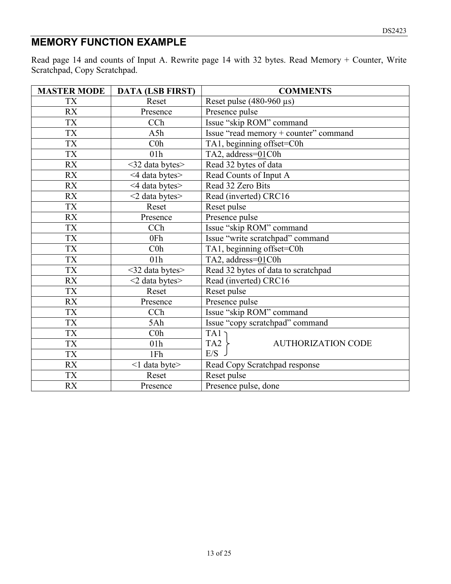# **MEMORY FUNCTION EXAMPLE**

Read page 14 and counts of Input A. Rewrite page 14 with 32 bytes. Read Memory + Counter, Write Scratchpad, Copy Scratchpad.

| <b>MASTER MODE</b> | <b>DATA (LSB FIRST)</b> | <b>COMMENTS</b>                              |
|--------------------|-------------------------|----------------------------------------------|
| <b>TX</b>          | Reset                   | Reset pulse $(480-960 \,\mu s)$              |
| RX                 | Presence                | Presence pulse                               |
| <b>TX</b>          | CCh                     | Issue "skip ROM" command                     |
| <b>TX</b>          | A5h                     | Issue "read memory + counter" command        |
| <b>TX</b>          | C <sub>0</sub>          | TA1, beginning offset=C0h                    |
| <b>TX</b>          | 01 <sub>h</sub>         | TA2, address=01C0h                           |
| RX                 | <32 data bytes>         | Read 32 bytes of data                        |
| <b>RX</b>          | <4 data bytes>          | Read Counts of Input A                       |
| RX                 | <4 data bytes>          | Read 32 Zero Bits                            |
| <b>RX</b>          | $<$ 2 data bytes $>$    | Read (inverted) CRC16                        |
| <b>TX</b>          | Reset                   | Reset pulse                                  |
| <b>RX</b>          | Presence                | Presence pulse                               |
| TX                 | CCh                     | Issue "skip ROM" command                     |
| <b>TX</b>          | 0Fh                     | Issue "write scratchpad" command             |
| <b>TX</b>          | C <sub>0</sub>          | TA1, beginning offset=C0h                    |
| <b>TX</b>          | 01h                     | TA2, address=01C0h                           |
| <b>TX</b>          | <32 data bytes>         | Read 32 bytes of data to scratchpad          |
| <b>RX</b>          | $<$ 2 data bytes $>$    | Read (inverted) CRC16                        |
| <b>TX</b>          | Reset                   | Reset pulse                                  |
| <b>RX</b>          | Presence                | Presence pulse                               |
| <b>TX</b>          | CCh                     | Issue "skip ROM" command                     |
| <b>TX</b>          | 5Ah                     | Issue "copy scratchpad" command              |
| <b>TX</b>          | C <sub>0</sub> h        | TA1                                          |
| <b>TX</b>          | 01 <sub>h</sub>         | TA <sub>2</sub><br><b>AUTHORIZATION CODE</b> |
| <b>TX</b>          | 1Fh                     | E/S                                          |
| <b>RX</b>          | <1 data byte>           | Read Copy Scratchpad response                |
| <b>TX</b>          | Reset                   | Reset pulse                                  |
| <b>RX</b>          | Presence                | Presence pulse, done                         |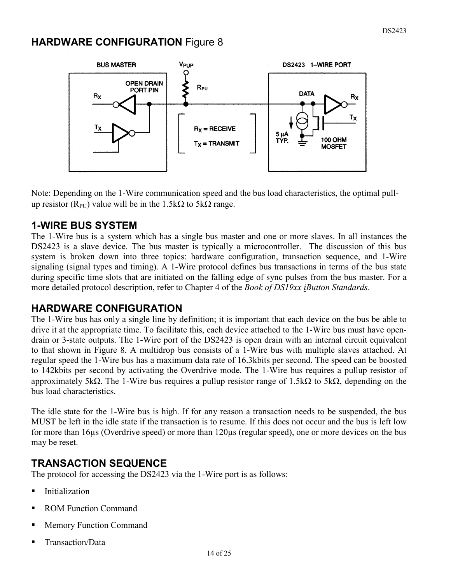#### **HARDWARE CONFIGURATION** Figure 8



Note: Depending on the 1-Wire communication speed and the bus load characteristics, the optimal pullup resistor ( $R_{PI}$ ) value will be in the 1.5k $\Omega$  to 5k $\Omega$  range.

#### **1-WIRE BUS SYSTEM**

The 1-Wire bus is a system which has a single bus master and one or more slaves. In all instances the DS2423 is a slave device. The bus master is typically a microcontroller. The discussion of this bus system is broken down into three topics: hardware configuration, transaction sequence, and 1-Wire signaling (signal types and timing). A 1-Wire protocol defines bus transactions in terms of the bus state during specific time slots that are initiated on the falling edge of sync pulses from the bus master. For a more detailed protocol description, refer to Chapter 4 of the *Book of DS19xx iButton Standards*.

#### **HARDWARE CONFIGURATION**

The 1-Wire bus has only a single line by definition; it is important that each device on the bus be able to drive it at the appropriate time. To facilitate this, each device attached to the 1-Wire bus must have opendrain or 3-state outputs. The 1-Wire port of the DS2423 is open drain with an internal circuit equivalent to that shown in Figure 8. A multidrop bus consists of a 1-Wire bus with multiple slaves attached. At regular speed the 1-Wire bus has a maximum data rate of 16.3kbits per second. The speed can be boosted to 142kbits per second by activating the Overdrive mode. The 1-Wire bus requires a pullup resistor of approximately 5kΩ. The 1-Wire bus requires a pullup resistor range of 1.5kΩ to 5kΩ, depending on the bus load characteristics.

The idle state for the 1-Wire bus is high. If for any reason a transaction needs to be suspended, the bus MUST be left in the idle state if the transaction is to resume. If this does not occur and the bus is left low for more than 16µs (Overdrive speed) or more than 120µs (regular speed), one or more devices on the bus may be reset.

#### **TRANSACTION SEQUENCE**

The protocol for accessing the DS2423 via the 1-Wire port is as follows:

- **Initialization**
- ROM Function Command
- Memory Function Command
- Transaction/Data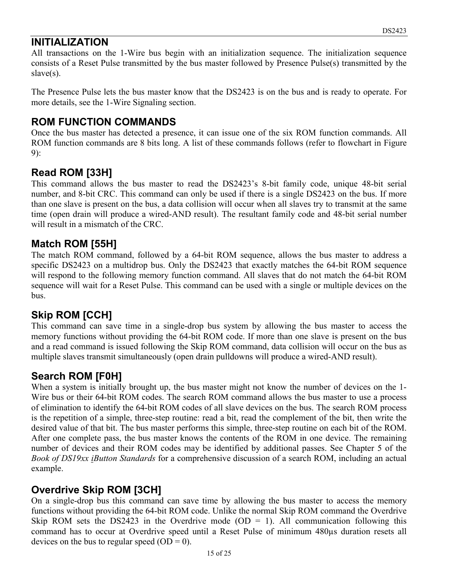#### **INITIALIZATION**

All transactions on the 1-Wire bus begin with an initialization sequence. The initialization sequence consists of a Reset Pulse transmitted by the bus master followed by Presence Pulse(s) transmitted by the slave(s).

The Presence Pulse lets the bus master know that the DS2423 is on the bus and is ready to operate. For more details, see the 1-Wire Signaling section.

#### **ROM FUNCTION COMMANDS**

Once the bus master has detected a presence, it can issue one of the six ROM function commands. All ROM function commands are 8 bits long. A list of these commands follows (refer to flowchart in Figure 9):

#### **Read ROM [33H]**

This command allows the bus master to read the DS2423's 8-bit family code, unique 48-bit serial number, and 8-bit CRC. This command can only be used if there is a single DS2423 on the bus. If more than one slave is present on the bus, a data collision will occur when all slaves try to transmit at the same time (open drain will produce a wired-AND result). The resultant family code and 48-bit serial number will result in a mismatch of the CRC.

#### **Match ROM [55H]**

The match ROM command, followed by a 64-bit ROM sequence, allows the bus master to address a specific DS2423 on a multidrop bus. Only the DS2423 that exactly matches the 64-bit ROM sequence will respond to the following memory function command. All slaves that do not match the 64-bit ROM sequence will wait for a Reset Pulse. This command can be used with a single or multiple devices on the bus.

#### **Skip ROM [CCH]**

This command can save time in a single-drop bus system by allowing the bus master to access the memory functions without providing the 64-bit ROM code. If more than one slave is present on the bus and a read command is issued following the Skip ROM command, data collision will occur on the bus as multiple slaves transmit simultaneously (open drain pulldowns will produce a wired-AND result).

#### **Search ROM [F0H]**

When a system is initially brought up, the bus master might not know the number of devices on the 1- Wire bus or their 64-bit ROM codes. The search ROM command allows the bus master to use a process of elimination to identify the 64-bit ROM codes of all slave devices on the bus. The search ROM process is the repetition of a simple, three-step routine: read a bit, read the complement of the bit, then write the desired value of that bit. The bus master performs this simple, three-step routine on each bit of the ROM. After one complete pass, the bus master knows the contents of the ROM in one device. The remaining number of devices and their ROM codes may be identified by additional passes. See Chapter 5 of the *Book of DS19xx iButton Standards* for a comprehensive discussion of a search ROM, including an actual example.

#### **Overdrive Skip ROM [3CH]**

On a single-drop bus this command can save time by allowing the bus master to access the memory functions without providing the 64-bit ROM code. Unlike the normal Skip ROM command the Overdrive Skip ROM sets the DS2423 in the Overdrive mode (OD = 1). All communication following this command has to occur at Overdrive speed until a Reset Pulse of minimum 480µs duration resets all devices on the bus to regular speed  $(OD = 0)$ .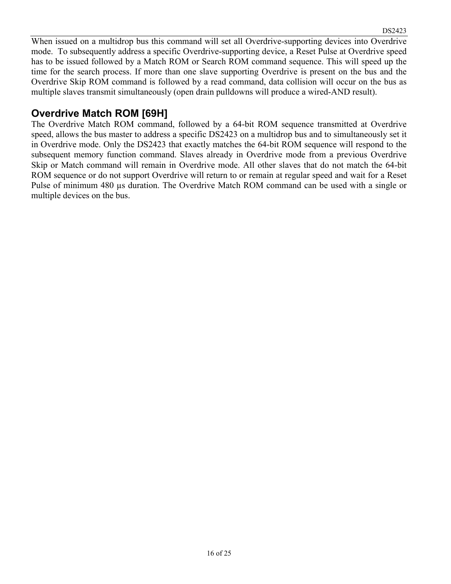When issued on a multidrop bus this command will set all Overdrive-supporting devices into Overdrive mode. To subsequently address a specific Overdrive-supporting device, a Reset Pulse at Overdrive speed has to be issued followed by a Match ROM or Search ROM command sequence. This will speed up the time for the search process. If more than one slave supporting Overdrive is present on the bus and the Overdrive Skip ROM command is followed by a read command, data collision will occur on the bus as multiple slaves transmit simultaneously (open drain pulldowns will produce a wired-AND result).

#### **Overdrive Match ROM [69H]**

The Overdrive Match ROM command, followed by a 64-bit ROM sequence transmitted at Overdrive speed, allows the bus master to address a specific DS2423 on a multidrop bus and to simultaneously set it in Overdrive mode. Only the DS2423 that exactly matches the 64-bit ROM sequence will respond to the subsequent memory function command. Slaves already in Overdrive mode from a previous Overdrive Skip or Match command will remain in Overdrive mode. All other slaves that do not match the 64-bit ROM sequence or do not support Overdrive will return to or remain at regular speed and wait for a Reset Pulse of minimum 480 µs duration. The Overdrive Match ROM command can be used with a single or multiple devices on the bus.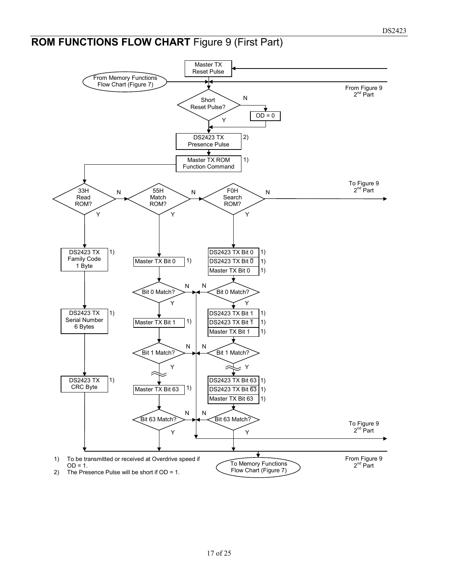# **ROM FUNCTIONS FLOW CHART** Figure 9 (First Part)

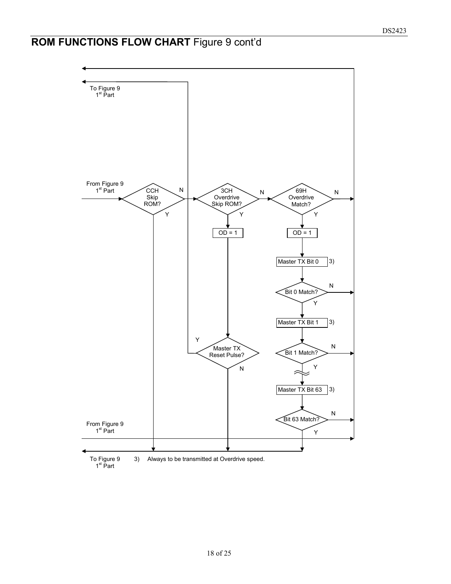# **ROM FUNCTIONS FLOW CHART** Figure 9 cont'd

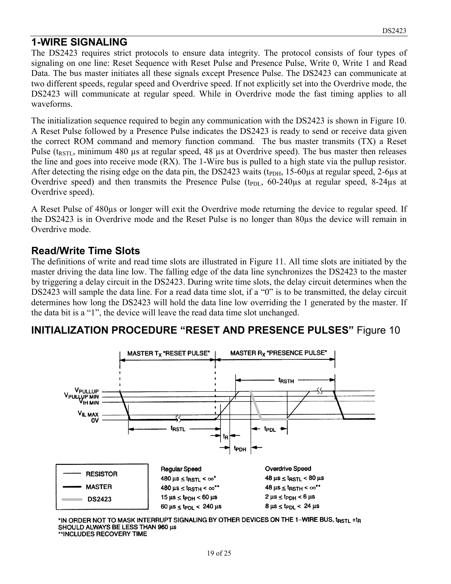#### **1-WIRE SIGNALING**

The DS2423 requires strict protocols to ensure data integrity. The protocol consists of four types of signaling on one line: Reset Sequence with Reset Pulse and Presence Pulse, Write 0, Write 1 and Read Data. The bus master initiates all these signals except Presence Pulse. The DS2423 can communicate at two different speeds, regular speed and Overdrive speed. If not explicitly set into the Overdrive mode, the DS2423 will communicate at regular speed. While in Overdrive mode the fast timing applies to all waveforms.

The initialization sequence required to begin any communication with the DS2423 is shown in Figure 10. A Reset Pulse followed by a Presence Pulse indicates the DS2423 is ready to send or receive data given the correct ROM command and memory function command. The bus master transmits (TX) a Reset Pulse ( $t_{RSTL}$ , minimum 480 µs at regular speed, 48 µs at Overdrive speed). The bus master then releases the line and goes into receive mode (RX). The 1-Wire bus is pulled to a high state via the pullup resistor. After detecting the rising edge on the data pin, the DS2423 waits ( $t_{\text{PDH}}$ , 15-60 $\mu$ s at regular speed, 2-6 $\mu$ s at Overdrive speed) and then transmits the Presence Pulse ( $t_{PDL}$ , 60-240 $\mu$ s at regular speed, 8-24 $\mu$ s at Overdrive speed).

A Reset Pulse of 480µs or longer will exit the Overdrive mode returning the device to regular speed. If the DS2423 is in Overdrive mode and the Reset Pulse is no longer than 80µs the device will remain in Overdrive mode.

#### **Read/Write Time Slots**

The definitions of write and read time slots are illustrated in Figure 11. All time slots are initiated by the master driving the data line low. The falling edge of the data line synchronizes the DS2423 to the master by triggering a delay circuit in the DS2423. During write time slots, the delay circuit determines when the DS2423 will sample the data line. For a read data time slot, if a "0" is to be transmitted, the delay circuit determines how long the DS2423 will hold the data line low overriding the 1 generated by the master. If the data bit is a "1", the device will leave the read data time slot unchanged.

#### **INITIALIZATION PROCEDURE "RESET AND PRESENCE PULSES"** Figure 10



\*IN ORDER NOT TO MASK INTERRUPT SIGNALING BY OTHER DEVICES ON THE 1-WIRE BUS, t<sub>rstl</sub> +t<sub>r</sub> SHOULD ALWAYS BE LESS THAN 960 µs \*\*INCLUDES RECOVERY TIME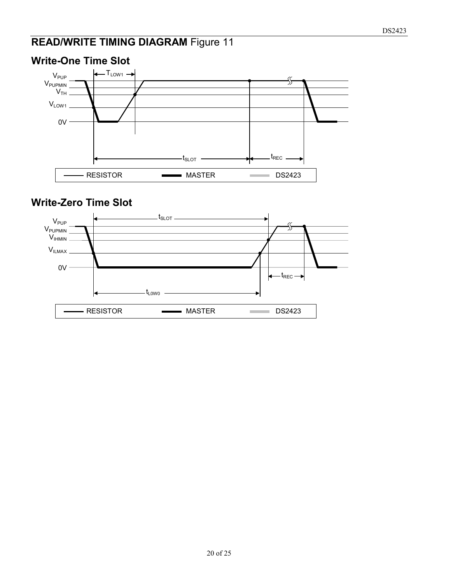# **READ/WRITE TIMING DIAGRAM** Figure 11



#### **Write-One Time Slot**

#### **Write-Zero Time Slot**

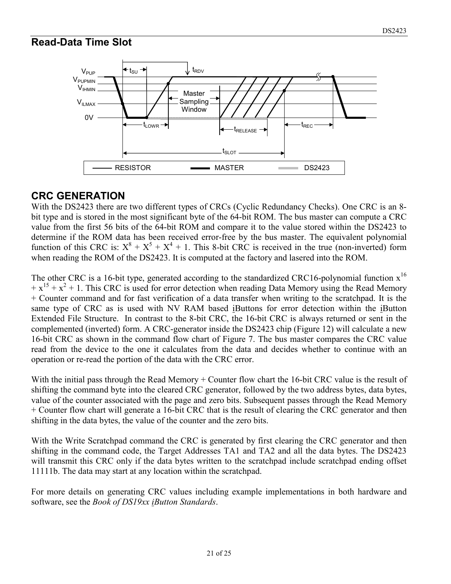#### **Read-Data Time Slot**



#### **CRC GENERATION**

With the DS2423 there are two different types of CRCs (Cyclic Redundancy Checks). One CRC is an 8 bit type and is stored in the most significant byte of the 64-bit ROM. The bus master can compute a CRC value from the first 56 bits of the 64-bit ROM and compare it to the value stored within the DS2423 to determine if the ROM data has been received error-free by the bus master. The equivalent polynomial function of this CRC is:  $X^8 + X^5 + X^4 + 1$ . This 8-bit CRC is received in the true (non-inverted) form when reading the ROM of the DS2423. It is computed at the factory and lasered into the ROM.

The other CRC is a 16-bit type, generated according to the standardized CRC16-polynomial function  $x^{16}$  $+x^{15} + x^2 + 1$ . This CRC is used for error detection when reading Data Memory using the Read Memory + Counter command and for fast verification of a data transfer when writing to the scratchpad. It is the same type of CRC as is used with NV RAM based iButtons for error detection within the iButton Extended File Structure. In contrast to the 8-bit CRC, the 16-bit CRC is always returned or sent in the complemented (inverted) form. A CRC-generator inside the DS2423 chip (Figure 12) will calculate a new 16-bit CRC as shown in the command flow chart of Figure 7. The bus master compares the CRC value read from the device to the one it calculates from the data and decides whether to continue with an operation or re-read the portion of the data with the CRC error.

With the initial pass through the Read Memory + Counter flow chart the 16-bit CRC value is the result of shifting the command byte into the cleared CRC generator, followed by the two address bytes, data bytes, value of the counter associated with the page and zero bits. Subsequent passes through the Read Memory + Counter flow chart will generate a 16-bit CRC that is the result of clearing the CRC generator and then shifting in the data bytes, the value of the counter and the zero bits.

With the Write Scratchpad command the CRC is generated by first clearing the CRC generator and then shifting in the command code, the Target Addresses TA1 and TA2 and all the data bytes. The DS2423 will transmit this CRC only if the data bytes written to the scratchpad include scratchpad ending offset 11111b. The data may start at any location within the scratchpad.

For more details on generating CRC values including example implementations in both hardware and software, see the *Book of DS19xx iButton Standards*.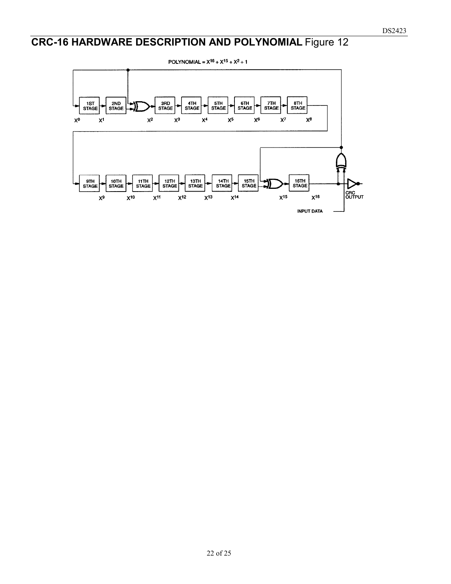# **CRC-16 HARDWARE DESCRIPTION AND POLYNOMIAL** Figure 12

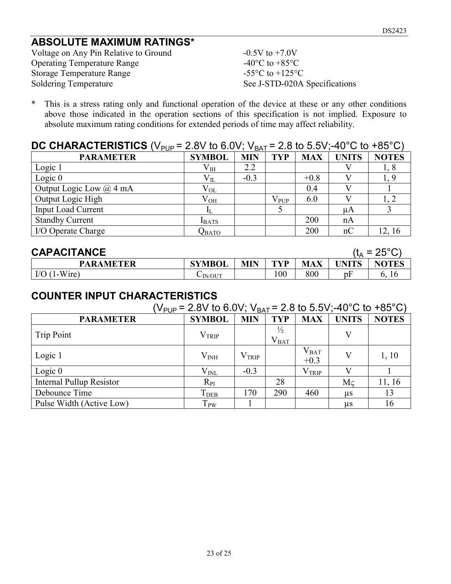#### **ABSOLUTE MAXIMUM RATINGS\***

Voltage on Any Pin Relative to Ground  $-0.5V$  to  $+7.0V$ Operating Temperature Range  $-40^{\circ}$ C to  $+85^{\circ}$ C Storage Temperature Range<br>
Soldering Temperature<br>
See J-STD-020A

See J-STD-020A Specifications

\* This is a stress rating only and functional operation of the device at these or any other conditions above those indicated in the operation sections of this specification is not implied. Exposure to absolute maximum rating conditions for extended periods of time may affect reliability.

#### **DC CHARACTERISTICS** (V<sub>PUP</sub> = 2.8V to 6.0V; V<sub>BAT</sub> = 2.8 to 5.5V:-40°C to +85°C)

| . .<br><b>PARAMETER</b>     | <b>SYMBOL</b> | - - - -<br><b>MIN</b> | <b>TYP</b>    | <b>MAX</b> | <b>UNITS</b> | <b>NOTES</b> |
|-----------------------------|---------------|-----------------------|---------------|------------|--------------|--------------|
| Logic 1                     | $\rm V_{IH}$  | 2.2                   |               |            |              | 1,8          |
| Logic $0$                   | $\rm V_{II}$  | $-0.3$                |               | $+0.8$     |              |              |
| Output Logic Low $(a)$ 4 mA | $V_{OL}$      |                       |               | 0.4        |              |              |
| Output Logic High           | $\rm V_{OH}$  |                       | $\rm V_{PUP}$ | 6.0        |              |              |
| <b>Input Load Current</b>   |               |                       |               |            | иA           |              |
| <b>Standby Current</b>      | <b>IBATS</b>  |                       |               | 200        | nA           |              |
| I/O Operate Charge          | Qвато         |                       |               | 200        | nC           | 12, 16       |

| <b>CAPACITANCE</b> |               |            |     |            |    | (t <sub>^</sub> = 25°C) |
|--------------------|---------------|------------|-----|------------|----|-------------------------|
| <b>PARAMETER</b>   | <b>SYMBOL</b> | <b>MIN</b> | TVP | <b>MAX</b> |    | <b>NOTES</b>            |
| $I/O$ (1-Wire)     | $\sim$ IN/OUT |            | 00  | 800        | υł | 10                      |

#### **COUNTER INPUT CHARACTERISTICS**

| (V <sub>PUP</sub> = 2.8V to 6.0V; V <sub>BAT</sub> = 2.8 to 5.5V;-40°C to +85°C) |                   |                |                            |                     |              |              |  |
|----------------------------------------------------------------------------------|-------------------|----------------|----------------------------|---------------------|--------------|--------------|--|
| <b>PARAMETER</b>                                                                 | <b>SYMBOL</b>     | <b>MIN</b>     | <b>TYP</b>                 | <b>MAX</b>          | <b>UNITS</b> | <b>NOTES</b> |  |
| <b>Trip Point</b>                                                                | $\rm V_{TRIP}$    |                | $\frac{1}{2}$<br>$V_{BAT}$ |                     |              |              |  |
| Logic 1                                                                          | $\rm V_{\rm INH}$ | $\rm V_{TRIP}$ |                            | $V_{BAT}$<br>$+0.3$ | V            | 1, 10        |  |
| Logic $0$                                                                        | $\rm V_{\rm INL}$ | $-0.3$         |                            | $\rm V_{TRIP}$      |              |              |  |
| <b>Internal Pullup Resistor</b>                                                  | $R_{PI}$          |                | 28                         |                     | Mc           | 11, 16       |  |
| Debounce Time                                                                    | T <sub>DEB</sub>  | 170            | 290                        | 460                 | us           | 13           |  |
| Pulse Width (Active Low)                                                         | T <sub>PW</sub>   |                |                            |                     | us           | 16           |  |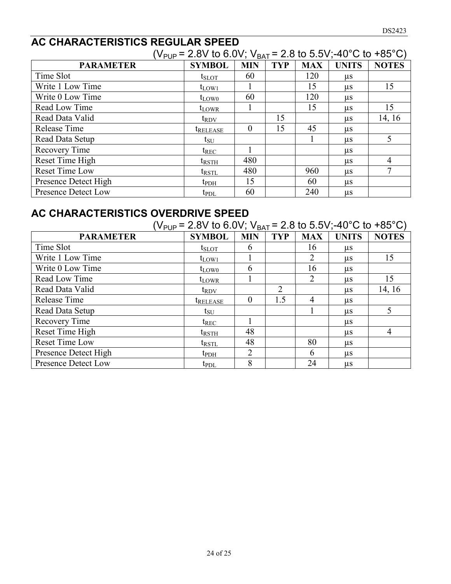#### **AC CHARACTERISTICS REGULAR SPEED**

| (V <sub>PUP</sub> = 2.8V to 6.0V; V <sub>BAT</sub> = 2.8 to 5.5V;-40°C to +85°C) |                        |            |            |            |              |                |  |
|----------------------------------------------------------------------------------|------------------------|------------|------------|------------|--------------|----------------|--|
| <b>PARAMETER</b>                                                                 | <b>SYMBOL</b>          | <b>MIN</b> | <b>TYP</b> | <b>MAX</b> | <b>UNITS</b> | <b>NOTES</b>   |  |
| Time Slot                                                                        | $t_{SLOT}$             | 60         |            | 120        | $\mu$ s      |                |  |
| Write 1 Low Time                                                                 | $t_{LOW1}$             |            |            | 15         | $\mu$ s      | 15             |  |
| Write 0 Low Time                                                                 | $t_{LOW0}$             | 60         |            | 120        | $\mu$ s      |                |  |
| Read Low Time                                                                    | $t_{LOWR}$             |            |            | 15         | $\mu$ s      | 15             |  |
| Read Data Valid                                                                  | $t_{\rm RDV}$          |            | 15         |            | $\mu$ s      | 14, 16         |  |
| Release Time                                                                     | <i><b>TRELEASE</b></i> | 0          | 15         | 45         | $\mu$ s      |                |  |
| Read Data Setup                                                                  | $t_{\rm SU}$           |            |            |            | us           | 5              |  |
| Recovery Time                                                                    | $t_{REC}$              |            |            |            | $\mu$ s      |                |  |
| Reset Time High                                                                  | $t_{\rm RSTH}$         | 480        |            |            | $\mu$ s      | $\overline{4}$ |  |
| Reset Time Low                                                                   | $t_{\text{RSTL}}$      | 480        |            | 960        | $\mu$ s      | 7              |  |
| Presence Detect High                                                             | $t_{\rm{PDH}}$         | 15         |            | 60         | $\mu$ s      |                |  |
| Presence Detect Low                                                              | $t_{PDL}$              | 60         |            | 240        | $\mu$ s      |                |  |

# **AC CHARACTERISTICS OVERDRIVE SPEED**

| (V <sub>PUP</sub> = 2.8V to 6.0V; V <sub>BAT</sub> = 2.8 to 5.5V;-40°C to +85°C) |                        |            |                |            |              |                |  |
|----------------------------------------------------------------------------------|------------------------|------------|----------------|------------|--------------|----------------|--|
| <b>PARAMETER</b>                                                                 | <b>SYMBOL</b>          | <b>MIN</b> | <b>TYP</b>     | <b>MAX</b> | <b>UNITS</b> | <b>NOTES</b>   |  |
| Time Slot                                                                        | $t_{\rm SLOT}$         | b          |                | 16         | $\mu$ s      |                |  |
| Write 1 Low Time                                                                 | $t_{LOW1}$             |            |                | 2          | $\mu$ s      | 15             |  |
| Write 0 Low Time                                                                 | $t_{LOW0}$             | 6          |                | 16         | $\mu$ s      |                |  |
| Read Low Time                                                                    | $t_{LOWR}$             |            |                | 2          | $\mu$ s      | 15             |  |
| Read Data Valid                                                                  | $t_{\rm{RDV}}$         |            | $\overline{2}$ |            | us           | 14, 16         |  |
| Release Time                                                                     | <b><i>IRELEASE</i></b> | $\theta$   | 1.5            | 4          | us.          |                |  |
| Read Data Setup                                                                  | $t_{\rm SU}$           |            |                |            | $\mu$ s      | 5              |  |
| Recovery Time                                                                    | $t_{REC}$              |            |                |            | $\mu$ s      |                |  |
| Reset Time High                                                                  | trsth                  | 48         |                |            | us           | $\overline{4}$ |  |
| Reset Time Low                                                                   | $t_{\text{RSTL}}$      | 48         |                | 80         | $\mu$ s      |                |  |
| Presence Detect High                                                             | $t_{\rm{PDH}}$         | 2          |                | 6          | $\mu$ s      |                |  |
| Presence Detect Low                                                              | $t_{PDL}$              | 8          |                | 24         | $\mu$ s      |                |  |